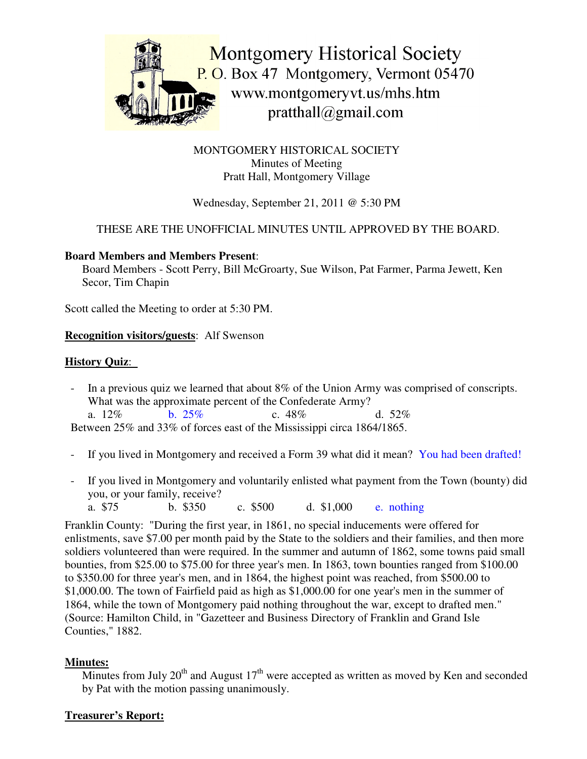

MONTGOMERY HISTORICAL SOCIETY Minutes of Meeting Pratt Hall, Montgomery Village

# Wednesday, September 21, 2011 @ 5:30 PM

# THESE ARE THE UNOFFICIAL MINUTES UNTIL APPROVED BY THE BOARD.

#### **Board Members and Members Present**:

Board Members - Scott Perry, Bill McGroarty, Sue Wilson, Pat Farmer, Parma Jewett, Ken Secor, Tim Chapin

Scott called the Meeting to order at 5:30 PM.

### **Recognition visitors/guests**: Alf Swenson

### **History Quiz**:

- In a previous quiz we learned that about 8% of the Union Army was comprised of conscripts. What was the approximate percent of the Confederate Army? a.  $12\%$  b.  $25\%$  c.  $48\%$  d.  $52\%$ Between 25% and 33% of forces east of the Mississippi circa 1864/1865.
- If you lived in Montgomery and received a Form 39 what did it mean? You had been drafted!
- If you lived in Montgomery and voluntarily enlisted what payment from the Town (bounty) did you, or your family, receive?
	- a. \$75 b. \$350 c. \$500 d. \$1,000 e. nothing

Franklin County: "During the first year, in 1861, no special inducements were offered for enlistments, save \$7.00 per month paid by the State to the soldiers and their families, and then more soldiers volunteered than were required. In the summer and autumn of 1862, some towns paid small bounties, from \$25.00 to \$75.00 for three year's men. In 1863, town bounties ranged from \$100.00 to \$350.00 for three year's men, and in 1864, the highest point was reached, from \$500.00 to \$1,000.00. The town of Fairfield paid as high as \$1,000.00 for one year's men in the summer of 1864, while the town of Montgomery paid nothing throughout the war, except to drafted men." (Source: Hamilton Child, in "Gazetteer and Business Directory of Franklin and Grand Isle Counties," 1882.

# **Minutes:**

Minutes from July 20<sup>th</sup> and August 17<sup>th</sup> were accepted as written as moved by Ken and seconded by Pat with the motion passing unanimously.

# **Treasurer's Report:**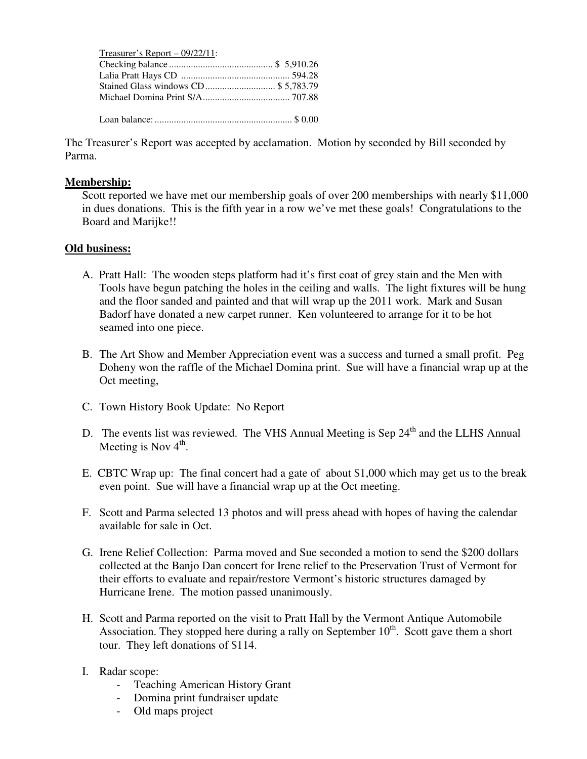| Treasurer's Report $-$ 09/22/11:    |  |
|-------------------------------------|--|
|                                     |  |
|                                     |  |
| Stained Glass windows CD \$5,783.79 |  |
|                                     |  |
|                                     |  |

The Treasurer's Report was accepted by acclamation. Motion by seconded by Bill seconded by Parma.

#### **Membership:**

Scott reported we have met our membership goals of over 200 memberships with nearly \$11,000 in dues donations. This is the fifth year in a row we've met these goals! Congratulations to the Board and Marijke!!

### **Old business:**

- A. Pratt Hall: The wooden steps platform had it's first coat of grey stain and the Men with Tools have begun patching the holes in the ceiling and walls. The light fixtures will be hung and the floor sanded and painted and that will wrap up the 2011 work. Mark and Susan Badorf have donated a new carpet runner. Ken volunteered to arrange for it to be hot seamed into one piece.
- B. The Art Show and Member Appreciation event was a success and turned a small profit. Peg Doheny won the raffle of the Michael Domina print. Sue will have a financial wrap up at the Oct meeting,
- C. Town History Book Update: No Report
- D. The events list was reviewed. The VHS Annual Meeting is Sep 24<sup>th</sup> and the LLHS Annual Meeting is Nov  $4^{\text{th}}$ .
- E. CBTC Wrap up: The final concert had a gate of about \$1,000 which may get us to the break even point. Sue will have a financial wrap up at the Oct meeting.
- F. Scott and Parma selected 13 photos and will press ahead with hopes of having the calendar available for sale in Oct.
- G. Irene Relief Collection: Parma moved and Sue seconded a motion to send the \$200 dollars collected at the Banjo Dan concert for Irene relief to the Preservation Trust of Vermont for their efforts to evaluate and repair/restore Vermont's historic structures damaged by Hurricane Irene. The motion passed unanimously.
- H. Scott and Parma reported on the visit to Pratt Hall by the Vermont Antique Automobile Association. They stopped here during a rally on September 10<sup>th</sup>. Scott gave them a short tour. They left donations of \$114.
- I. Radar scope:
	- Teaching American History Grant
	- Domina print fundraiser update
	- Old maps project